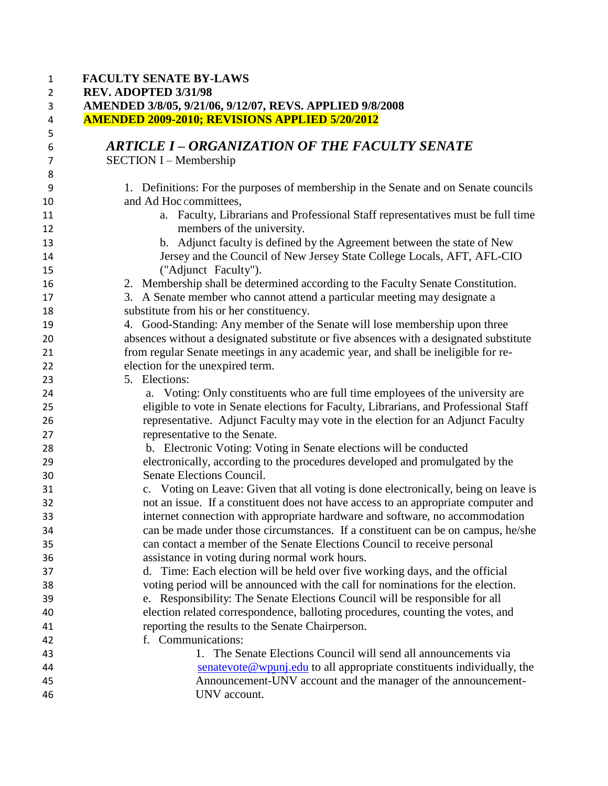| <b>FACULTY SENATE BY-LAWS</b><br>REV. ADOPTED 3/31/98                                                               |
|---------------------------------------------------------------------------------------------------------------------|
| AMENDED 3/8/05, 9/21/06, 9/12/07, REVS. APPLIED 9/8/2008<br><b>AMENDED 2009-2010; REVISIONS APPLIED 5/20/2012</b>   |
|                                                                                                                     |
| <b>ARTICLE I - ORGANIZATION OF THE FACULTY SENATE</b>                                                               |
| <b>SECTION I – Membership</b>                                                                                       |
| 1. Definitions: For the purposes of membership in the Senate and on Senate councils                                 |
| and Ad Hoc committees,                                                                                              |
| a. Faculty, Librarians and Professional Staff representatives must be full time<br>members of the university.       |
| b. Adjunct faculty is defined by the Agreement between the state of New                                             |
| Jersey and the Council of New Jersey State College Locals, AFT, AFL-CIO<br>("Adjunct Faculty").                     |
| 2. Membership shall be determined according to the Faculty Senate Constitution.                                     |
| 3. A Senate member who cannot attend a particular meeting may designate a                                           |
| substitute from his or her constituency.                                                                            |
| 4. Good-Standing: Any member of the Senate will lose membership upon three                                          |
| absences without a designated substitute or five absences with a designated substitute                              |
| from regular Senate meetings in any academic year, and shall be ineligible for re-                                  |
| election for the unexpired term.                                                                                    |
| 5. Elections:                                                                                                       |
| a. Voting: Only constituents who are full time employees of the university are                                      |
| eligible to vote in Senate elections for Faculty, Librarians, and Professional Staff                                |
| representative. Adjunct Faculty may vote in the election for an Adjunct Faculty                                     |
| representative to the Senate.                                                                                       |
| b. Electronic Voting: Voting in Senate elections will be conducted                                                  |
| electronically, according to the procedures developed and promulgated by the                                        |
| Senate Elections Council.                                                                                           |
| c. Voting on Leave: Given that all voting is done electronically, being on leave is                                 |
| not an issue. If a constituent does not have access to an appropriate computer and                                  |
| internet connection with appropriate hardware and software, no accommodation                                        |
| can be made under those circumstances. If a constituent can be on campus, he/she                                    |
| can contact a member of the Senate Elections Council to receive personal                                            |
| assistance in voting during normal work hours.                                                                      |
| d. Time: Each election will be held over five working days, and the official                                        |
| voting period will be announced with the call for nominations for the election.                                     |
| e. Responsibility: The Senate Elections Council will be responsible for all                                         |
| election related correspondence, balloting procedures, counting the votes, and                                      |
| reporting the results to the Senate Chairperson.                                                                    |
| f. Communications:                                                                                                  |
| 1. The Senate Elections Council will send all announcements via                                                     |
| $\frac{\text{senatevote@wpunj.edu}}{\text{senatevote@wpunj.edu}}$ to all appropriate constituents individually, the |
| Announcement-UNV account and the manager of the announcement-                                                       |
| UNV account.                                                                                                        |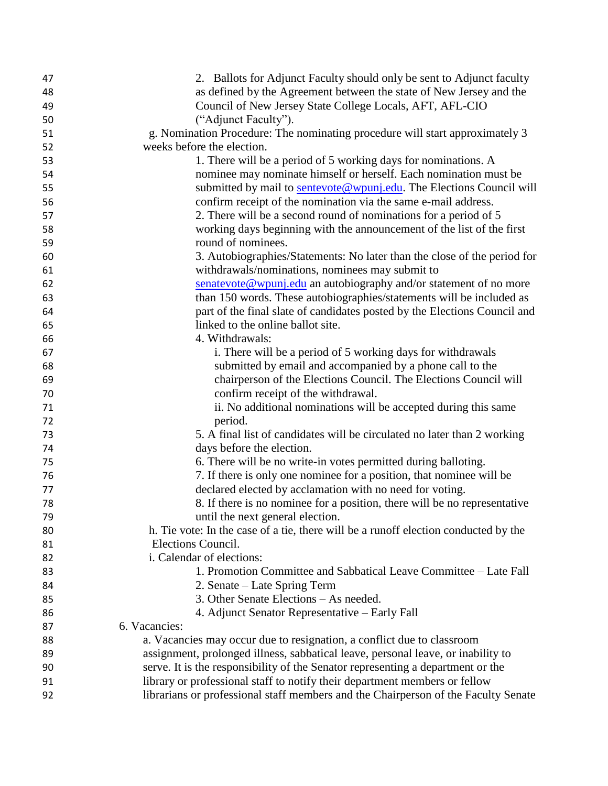| 47 | 2. Ballots for Adjunct Faculty should only be sent to Adjunct faculty               |
|----|-------------------------------------------------------------------------------------|
| 48 | as defined by the Agreement between the state of New Jersey and the                 |
| 49 | Council of New Jersey State College Locals, AFT, AFL-CIO                            |
| 50 | ("Adjunct Faculty").                                                                |
| 51 | g. Nomination Procedure: The nominating procedure will start approximately 3        |
| 52 | weeks before the election.                                                          |
| 53 | 1. There will be a period of 5 working days for nominations. A                      |
| 54 | nominee may nominate himself or herself. Each nomination must be                    |
| 55 | submitted by mail to sentevote@wpunj.edu. The Elections Council will                |
| 56 | confirm receipt of the nomination via the same e-mail address.                      |
| 57 | 2. There will be a second round of nominations for a period of 5                    |
| 58 | working days beginning with the announcement of the list of the first               |
| 59 | round of nominees.                                                                  |
| 60 | 3. Autobiographies/Statements: No later than the close of the period for            |
| 61 | withdrawals/nominations, nominees may submit to                                     |
| 62 | senatevote@wpunj.edu an autobiography and/or statement of no more                   |
| 63 | than 150 words. These autobiographies/statements will be included as                |
| 64 | part of the final slate of candidates posted by the Elections Council and           |
| 65 | linked to the online ballot site.                                                   |
| 66 | 4. Withdrawals:                                                                     |
| 67 | i. There will be a period of 5 working days for withdrawals                         |
| 68 | submitted by email and accompanied by a phone call to the                           |
| 69 | chairperson of the Elections Council. The Elections Council will                    |
| 70 | confirm receipt of the withdrawal.                                                  |
| 71 | ii. No additional nominations will be accepted during this same                     |
| 72 | period.                                                                             |
| 73 | 5. A final list of candidates will be circulated no later than 2 working            |
| 74 | days before the election.                                                           |
| 75 | 6. There will be no write-in votes permitted during balloting.                      |
| 76 | 7. If there is only one nominee for a position, that nominee will be                |
| 77 | declared elected by acclamation with no need for voting.                            |
| 78 | 8. If there is no nominee for a position, there will be no representative           |
| 79 | until the next general election.                                                    |
| 80 | h. Tie vote: In the case of a tie, there will be a runoff election conducted by the |
| 81 | Elections Council.                                                                  |
| 82 | i. Calendar of elections:                                                           |
| 83 | 1. Promotion Committee and Sabbatical Leave Committee – Late Fall                   |
| 84 | 2. Senate – Late Spring Term                                                        |
| 85 | 3. Other Senate Elections – As needed.                                              |
| 86 | 4. Adjunct Senator Representative – Early Fall                                      |
| 87 | 6. Vacancies:                                                                       |
| 88 | a. Vacancies may occur due to resignation, a conflict due to classroom              |
| 89 | assignment, prolonged illness, sabbatical leave, personal leave, or inability to    |
| 90 | serve. It is the responsibility of the Senator representing a department or the     |
| 91 | library or professional staff to notify their department members or fellow          |
| 92 | librarians or professional staff members and the Chairperson of the Faculty Senate  |
|    |                                                                                     |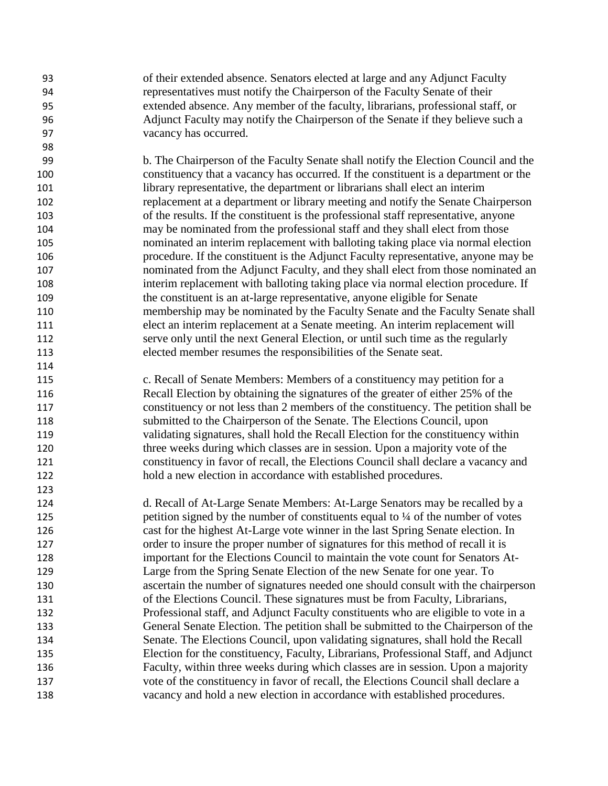of their extended absence. Senators elected at large and any Adjunct Faculty representatives must notify the Chairperson of the Faculty Senate of their extended absence. Any member of the faculty, librarians, professional staff, or Adjunct Faculty may notify the Chairperson of the Senate if they believe such a vacancy has occurred. b. The Chairperson of the Faculty Senate shall notify the Election Council and the constituency that a vacancy has occurred. If the constituent is a department or the library representative, the department or librarians shall elect an interim replacement at a department or library meeting and notify the Senate Chairperson of the results. If the constituent is the professional staff representative, anyone may be nominated from the professional staff and they shall elect from those nominated an interim replacement with balloting taking place via normal election procedure. If the constituent is the Adjunct Faculty representative, anyone may be nominated from the Adjunct Faculty, and they shall elect from those nominated an interim replacement with balloting taking place via normal election procedure. If the constituent is an at-large representative, anyone eligible for Senate membership may be nominated by the Faculty Senate and the Faculty Senate shall elect an interim replacement at a Senate meeting. An interim replacement will serve only until the next General Election, or until such time as the regularly elected member resumes the responsibilities of the Senate seat. c. Recall of Senate Members: Members of a constituency may petition for a Recall Election by obtaining the signatures of the greater of either 25% of the constituency or not less than 2 members of the constituency. The petition shall be submitted to the Chairperson of the Senate. The Elections Council, upon validating signatures, shall hold the Recall Election for the constituency within three weeks during which classes are in session. Upon a majority vote of the constituency in favor of recall, the Elections Council shall declare a vacancy and hold a new election in accordance with established procedures. d. Recall of At-Large Senate Members: At-Large Senators may be recalled by a 125 petition signed by the number of constituents equal to ¼ of the number of votes cast for the highest At-Large vote winner in the last Spring Senate election. In order to insure the proper number of signatures for this method of recall it is important for the Elections Council to maintain the vote count for Senators At- Large from the Spring Senate Election of the new Senate for one year. To ascertain the number of signatures needed one should consult with the chairperson of the Elections Council. These signatures must be from Faculty, Librarians, Professional staff, and Adjunct Faculty constituents who are eligible to vote in a General Senate Election. The petition shall be submitted to the Chairperson of the Senate. The Elections Council, upon validating signatures, shall hold the Recall Election for the constituency, Faculty, Librarians, Professional Staff, and Adjunct Faculty, within three weeks during which classes are in session. Upon a majority vote of the constituency in favor of recall, the Elections Council shall declare a vacancy and hold a new election in accordance with established procedures.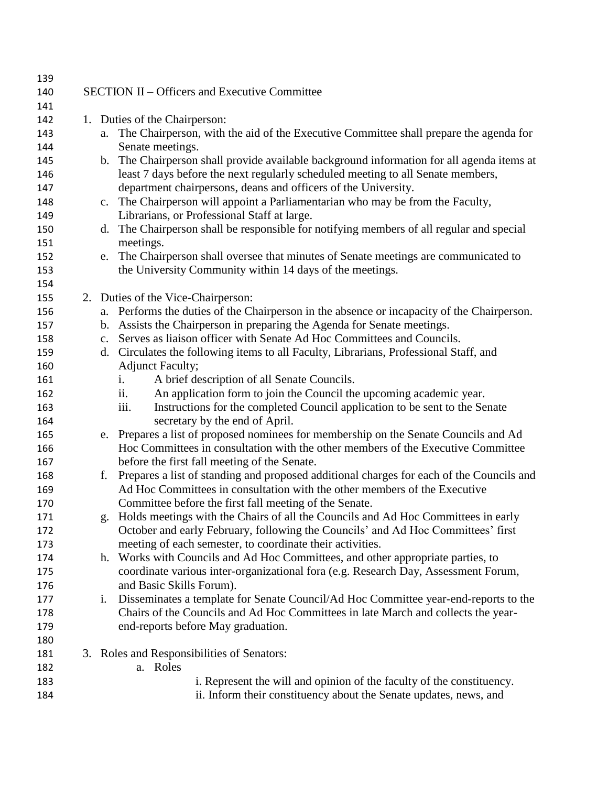| 139 |    |                                                                                            |
|-----|----|--------------------------------------------------------------------------------------------|
| 140 |    | SECTION II – Officers and Executive Committee                                              |
| 141 |    |                                                                                            |
| 142 |    | 1. Duties of the Chairperson:                                                              |
| 143 | a. | The Chairperson, with the aid of the Executive Committee shall prepare the agenda for      |
| 144 |    | Senate meetings.                                                                           |
| 145 |    | b. The Chairperson shall provide available background information for all agenda items at  |
| 146 |    | least 7 days before the next regularly scheduled meeting to all Senate members,            |
| 147 |    | department chairpersons, deans and officers of the University.                             |
| 148 |    | c. The Chairperson will appoint a Parliamentarian who may be from the Faculty,             |
| 149 |    | Librarians, or Professional Staff at large.                                                |
| 150 | d. | The Chairperson shall be responsible for notifying members of all regular and special      |
| 151 |    | meetings.                                                                                  |
| 152 |    | e. The Chairperson shall oversee that minutes of Senate meetings are communicated to       |
| 153 |    | the University Community within 14 days of the meetings.                                   |
| 154 |    |                                                                                            |
| 155 |    | 2. Duties of the Vice-Chairperson:                                                         |
| 156 |    | a. Performs the duties of the Chairperson in the absence or incapacity of the Chairperson. |
| 157 |    | b. Assists the Chairperson in preparing the Agenda for Senate meetings.                    |
| 158 | c. | Serves as liaison officer with Senate Ad Hoc Committees and Councils.                      |
| 159 |    | d. Circulates the following items to all Faculty, Librarians, Professional Staff, and      |
| 160 |    | <b>Adjunct Faculty;</b>                                                                    |
| 161 |    | A brief description of all Senate Councils.<br>i.                                          |
| 162 |    | An application form to join the Council the upcoming academic year.<br>ii.                 |
| 163 |    | iii.<br>Instructions for the completed Council application to be sent to the Senate        |
| 164 |    | secretary by the end of April.                                                             |
| 165 |    | e. Prepares a list of proposed nominees for membership on the Senate Councils and Ad       |
| 166 |    | Hoc Committees in consultation with the other members of the Executive Committee           |
| 167 |    | before the first fall meeting of the Senate.                                               |
| 168 | f. | Prepares a list of standing and proposed additional charges for each of the Councils and   |
| 169 |    | Ad Hoc Committees in consultation with the other members of the Executive                  |
| 170 |    | Committee before the first fall meeting of the Senate.                                     |
| 171 | g. | Holds meetings with the Chairs of all the Councils and Ad Hoc Committees in early          |
| 172 |    | October and early February, following the Councils' and Ad Hoc Committees' first           |
| 173 |    | meeting of each semester, to coordinate their activities.                                  |
| 174 |    | h. Works with Councils and Ad Hoc Committees, and other appropriate parties, to            |
| 175 |    | coordinate various inter-organizational fora (e.g. Research Day, Assessment Forum,         |
| 176 |    | and Basic Skills Forum).                                                                   |
| 177 | i. | Disseminates a template for Senate Council/Ad Hoc Committee year-end-reports to the        |
| 178 |    | Chairs of the Councils and Ad Hoc Committees in late March and collects the year-          |
| 179 |    | end-reports before May graduation.                                                         |
| 180 |    |                                                                                            |
| 181 |    | 3. Roles and Responsibilities of Senators:                                                 |
| 182 |    | a. Roles                                                                                   |
| 183 |    | i. Represent the will and opinion of the faculty of the constituency.                      |
| 184 |    | ii. Inform their constituency about the Senate updates, news, and                          |
|     |    |                                                                                            |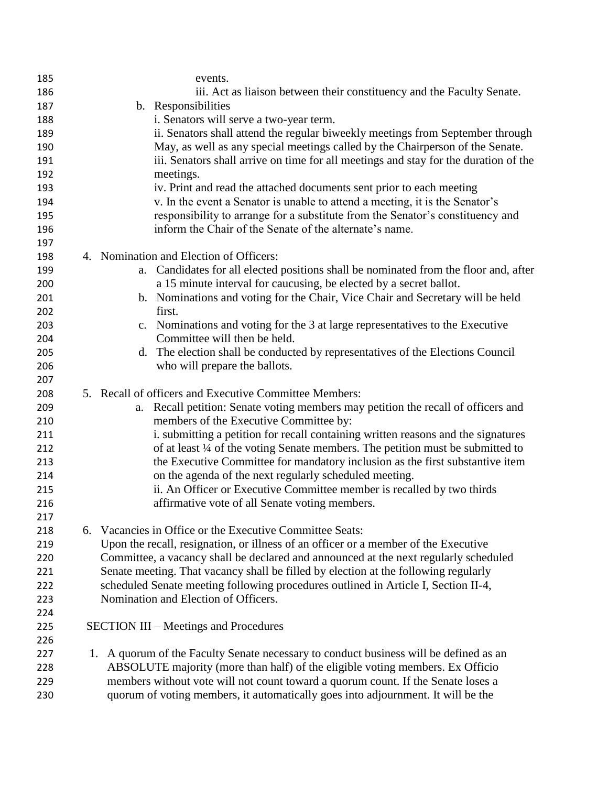| 185 |    | events.                                                                              |
|-----|----|--------------------------------------------------------------------------------------|
| 186 |    | iii. Act as liaison between their constituency and the Faculty Senate.               |
| 187 |    | b. Responsibilities                                                                  |
| 188 |    | i. Senators will serve a two-year term.                                              |
| 189 |    | ii. Senators shall attend the regular biweekly meetings from September through       |
| 190 |    | May, as well as any special meetings called by the Chairperson of the Senate.        |
| 191 |    | iii. Senators shall arrive on time for all meetings and stay for the duration of the |
| 192 |    | meetings.                                                                            |
| 193 |    | iv. Print and read the attached documents sent prior to each meeting                 |
| 194 |    | v. In the event a Senator is unable to attend a meeting, it is the Senator's         |
| 195 |    | responsibility to arrange for a substitute from the Senator's constituency and       |
| 196 |    | inform the Chair of the Senate of the alternate's name.                              |
| 197 |    |                                                                                      |
| 198 |    | 4. Nomination and Election of Officers:                                              |
| 199 |    | a. Candidates for all elected positions shall be nominated from the floor and, after |
| 200 |    | a 15 minute interval for caucusing, be elected by a secret ballot.                   |
| 201 |    | b. Nominations and voting for the Chair, Vice Chair and Secretary will be held       |
| 202 |    | first.                                                                               |
| 203 |    | c. Nominations and voting for the 3 at large representatives to the Executive        |
| 204 |    | Committee will then be held.                                                         |
| 205 |    | d. The election shall be conducted by representatives of the Elections Council       |
| 206 |    | who will prepare the ballots.                                                        |
| 207 |    |                                                                                      |
| 208 |    | 5. Recall of officers and Executive Committee Members:                               |
| 209 |    | Recall petition: Senate voting members may petition the recall of officers and<br>a. |
| 210 |    | members of the Executive Committee by:                                               |
| 211 |    | i. submitting a petition for recall containing written reasons and the signatures    |
| 212 |    | of at least 1/4 of the voting Senate members. The petition must be submitted to      |
| 213 |    | the Executive Committee for mandatory inclusion as the first substantive item        |
| 214 |    | on the agenda of the next regularly scheduled meeting.                               |
| 215 |    | ii. An Officer or Executive Committee member is recalled by two thirds               |
| 216 |    | affirmative vote of all Senate voting members.                                       |
| 217 |    |                                                                                      |
| 218 |    | 6. Vacancies in Office or the Executive Committee Seats:                             |
| 219 |    | Upon the recall, resignation, or illness of an officer or a member of the Executive  |
| 220 |    | Committee, a vacancy shall be declared and announced at the next regularly scheduled |
| 221 |    | Senate meeting. That vacancy shall be filled by election at the following regularly  |
| 222 |    | scheduled Senate meeting following procedures outlined in Article I, Section II-4,   |
| 223 |    | Nomination and Election of Officers.                                                 |
| 224 |    |                                                                                      |
| 225 |    | <b>SECTION III – Meetings and Procedures</b>                                         |
| 226 |    |                                                                                      |
| 227 | 1. | A quorum of the Faculty Senate necessary to conduct business will be defined as an   |
| 228 |    | ABSOLUTE majority (more than half) of the eligible voting members. Ex Officio        |
| 229 |    | members without vote will not count toward a quorum count. If the Senate loses a     |
| 230 |    | quorum of voting members, it automatically goes into adjournment. It will be the     |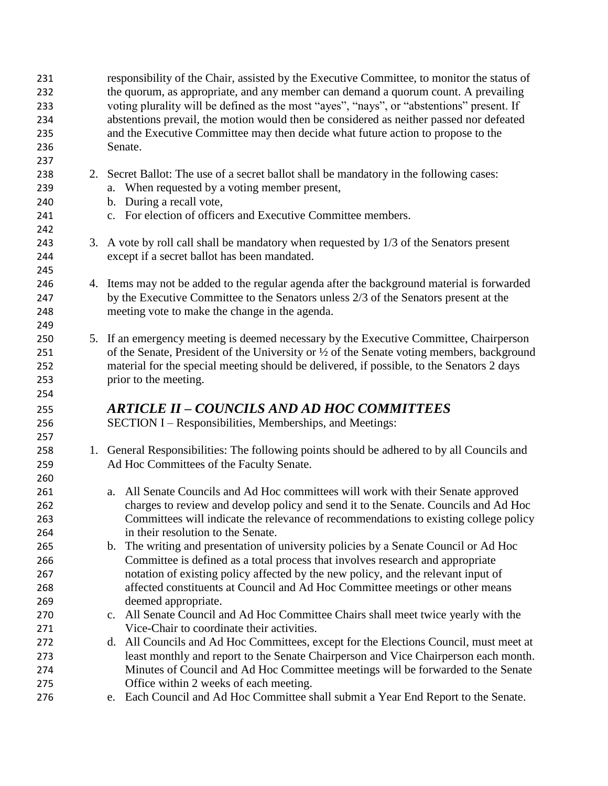|  | responsibility of the Chair, assisted by the Executive Committee, to monitor the status of<br>the quorum, as appropriate, and any member can demand a quorum count. A prevailing     |  |  |  |
|--|--------------------------------------------------------------------------------------------------------------------------------------------------------------------------------------|--|--|--|
|  | voting plurality will be defined as the most "ayes", "nays", or "abstentions" present. If<br>abstentions prevail, the motion would then be considered as neither passed nor defeated |  |  |  |
|  |                                                                                                                                                                                      |  |  |  |
|  | and the Executive Committee may then decide what future action to propose to the                                                                                                     |  |  |  |
|  | Senate.                                                                                                                                                                              |  |  |  |
|  |                                                                                                                                                                                      |  |  |  |
|  | 2. Secret Ballot: The use of a secret ballot shall be mandatory in the following cases:                                                                                              |  |  |  |
|  | a. When requested by a voting member present,                                                                                                                                        |  |  |  |
|  | b. During a recall vote,                                                                                                                                                             |  |  |  |
|  |                                                                                                                                                                                      |  |  |  |
|  | c. For election of officers and Executive Committee members.                                                                                                                         |  |  |  |
|  |                                                                                                                                                                                      |  |  |  |
|  | 3. A vote by roll call shall be mandatory when requested by 1/3 of the Senators present                                                                                              |  |  |  |
|  | except if a secret ballot has been mandated.                                                                                                                                         |  |  |  |
|  |                                                                                                                                                                                      |  |  |  |
|  | 4. Items may not be added to the regular agenda after the background material is forwarded                                                                                           |  |  |  |
|  | by the Executive Committee to the Senators unless 2/3 of the Senators present at the                                                                                                 |  |  |  |
|  | meeting vote to make the change in the agenda.                                                                                                                                       |  |  |  |
|  |                                                                                                                                                                                      |  |  |  |
|  | 5. If an emergency meeting is deemed necessary by the Executive Committee, Chairperson                                                                                               |  |  |  |
|  | of the Senate, President of the University or $\frac{1}{2}$ of the Senate voting members, background                                                                                 |  |  |  |
|  | material for the special meeting should be delivered, if possible, to the Senators 2 days                                                                                            |  |  |  |
|  | prior to the meeting.                                                                                                                                                                |  |  |  |
|  |                                                                                                                                                                                      |  |  |  |
|  | ARTICLE II – COUNCILS AND AD HOC COMMITTEES                                                                                                                                          |  |  |  |
|  | SECTION I – Responsibilities, Memberships, and Meetings:                                                                                                                             |  |  |  |
|  |                                                                                                                                                                                      |  |  |  |
|  | 1. General Responsibilities: The following points should be adhered to by all Councils and                                                                                           |  |  |  |
|  | Ad Hoc Committees of the Faculty Senate.                                                                                                                                             |  |  |  |
|  |                                                                                                                                                                                      |  |  |  |
|  | a. All Senate Councils and Ad Hoc committees will work with their Senate approved                                                                                                    |  |  |  |
|  | charges to review and develop policy and send it to the Senate. Councils and Ad Hoc                                                                                                  |  |  |  |
|  | Committees will indicate the relevance of recommendations to existing college policy                                                                                                 |  |  |  |
|  | in their resolution to the Senate.                                                                                                                                                   |  |  |  |
|  | b. The writing and presentation of university policies by a Senate Council or Ad Hoc                                                                                                 |  |  |  |
|  | Committee is defined as a total process that involves research and appropriate                                                                                                       |  |  |  |
|  | notation of existing policy affected by the new policy, and the relevant input of                                                                                                    |  |  |  |
|  | affected constituents at Council and Ad Hoc Committee meetings or other means                                                                                                        |  |  |  |
|  | deemed appropriate.                                                                                                                                                                  |  |  |  |
|  | c. All Senate Council and Ad Hoc Committee Chairs shall meet twice yearly with the                                                                                                   |  |  |  |
|  | Vice-Chair to coordinate their activities.                                                                                                                                           |  |  |  |
|  | d. All Councils and Ad Hoc Committees, except for the Elections Council, must meet at                                                                                                |  |  |  |
|  | least monthly and report to the Senate Chairperson and Vice Chairperson each month.                                                                                                  |  |  |  |
|  |                                                                                                                                                                                      |  |  |  |
|  |                                                                                                                                                                                      |  |  |  |
|  | Minutes of Council and Ad Hoc Committee meetings will be forwarded to the Senate<br>Office within 2 weeks of each meeting.                                                           |  |  |  |
|  |                                                                                                                                                                                      |  |  |  |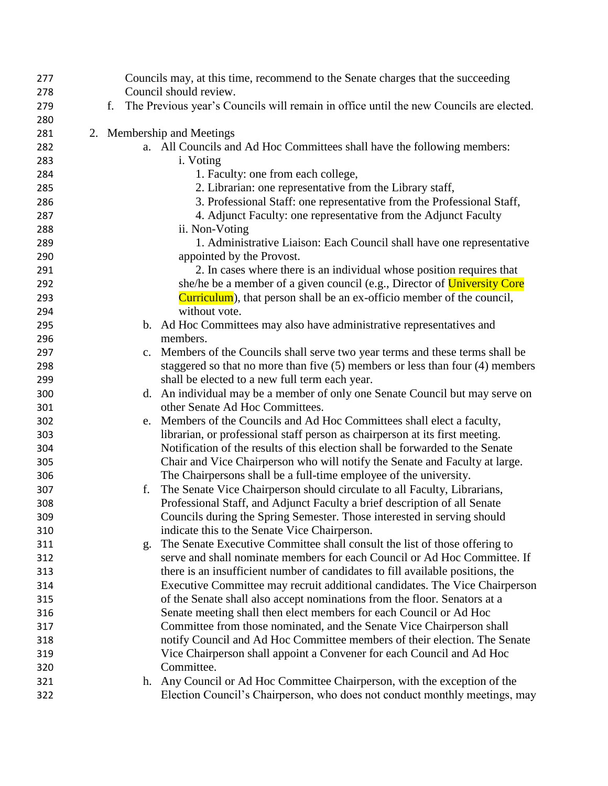| 277 | Councils may, at this time, recommend to the Senate charges that the succeeding              |
|-----|----------------------------------------------------------------------------------------------|
| 278 | Council should review.                                                                       |
| 279 | The Previous year's Councils will remain in office until the new Councils are elected.<br>f. |
| 280 |                                                                                              |
| 281 | 2. Membership and Meetings                                                                   |
| 282 | a. All Councils and Ad Hoc Committees shall have the following members:                      |
| 283 | i. Voting                                                                                    |
| 284 | 1. Faculty: one from each college,                                                           |
| 285 | 2. Librarian: one representative from the Library staff,                                     |
| 286 | 3. Professional Staff: one representative from the Professional Staff,                       |
| 287 | 4. Adjunct Faculty: one representative from the Adjunct Faculty                              |
| 288 | ii. Non-Voting                                                                               |
| 289 | 1. Administrative Liaison: Each Council shall have one representative                        |
| 290 | appointed by the Provost.                                                                    |
| 291 | 2. In cases where there is an individual whose position requires that                        |
| 292 | she/he be a member of a given council (e.g., Director of University Core                     |
| 293 | <b>Curriculum</b> ), that person shall be an ex-officio member of the council,               |
| 294 | without vote.                                                                                |
| 295 | b. Ad Hoc Committees may also have administrative representatives and                        |
| 296 | members.                                                                                     |
| 297 | Members of the Councils shall serve two year terms and these terms shall be<br>c.            |
| 298 | staggered so that no more than five $(5)$ members or less than four $(4)$ members            |
| 299 | shall be elected to a new full term each year.                                               |
| 300 | d. An individual may be a member of only one Senate Council but may serve on                 |
| 301 | other Senate Ad Hoc Committees.                                                              |
| 302 | Members of the Councils and Ad Hoc Committees shall elect a faculty,<br>e.                   |
| 303 | librarian, or professional staff person as chairperson at its first meeting.                 |
| 304 | Notification of the results of this election shall be forwarded to the Senate                |
| 305 | Chair and Vice Chairperson who will notify the Senate and Faculty at large.                  |
| 306 | The Chairpersons shall be a full-time employee of the university.                            |
| 307 | The Senate Vice Chairperson should circulate to all Faculty, Librarians,<br>f.               |
| 308 | Professional Staff, and Adjunct Faculty a brief description of all Senate                    |
| 309 | Councils during the Spring Semester. Those interested in serving should                      |
| 310 | indicate this to the Senate Vice Chairperson.                                                |
| 311 | The Senate Executive Committee shall consult the list of those offering to<br>g.             |
| 312 | serve and shall nominate members for each Council or Ad Hoc Committee. If                    |
| 313 | there is an insufficient number of candidates to fill available positions, the               |
| 314 | Executive Committee may recruit additional candidates. The Vice Chairperson                  |
| 315 | of the Senate shall also accept nominations from the floor. Senators at a                    |
| 316 | Senate meeting shall then elect members for each Council or Ad Hoc                           |
| 317 | Committee from those nominated, and the Senate Vice Chairperson shall                        |
| 318 | notify Council and Ad Hoc Committee members of their election. The Senate                    |
| 319 | Vice Chairperson shall appoint a Convener for each Council and Ad Hoc                        |
| 320 | Committee.                                                                                   |
| 321 | Any Council or Ad Hoc Committee Chairperson, with the exception of the<br>h.                 |
| 322 | Election Council's Chairperson, who does not conduct monthly meetings, may                   |
|     |                                                                                              |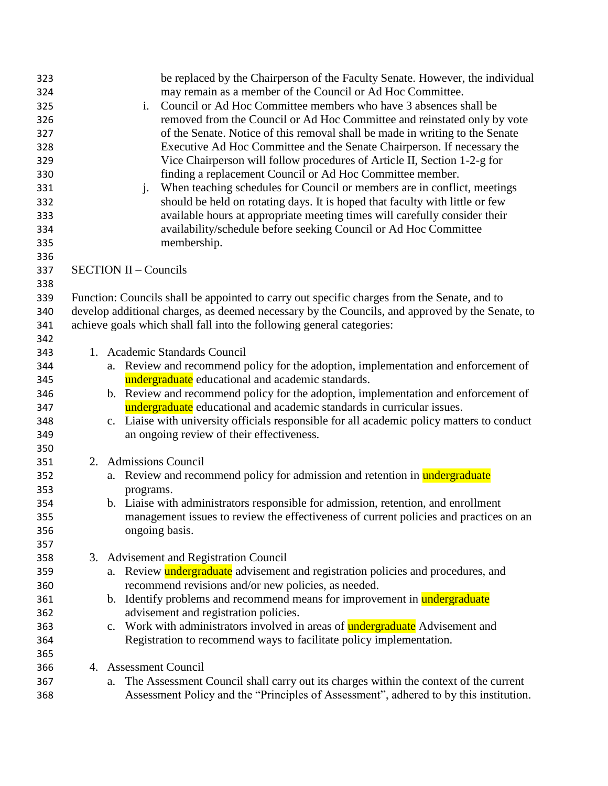| 323 | be replaced by the Chairperson of the Faculty Senate. However, the individual                             |
|-----|-----------------------------------------------------------------------------------------------------------|
| 324 | may remain as a member of the Council or Ad Hoc Committee.                                                |
| 325 | Council or Ad Hoc Committee members who have 3 absences shall be<br>i.                                    |
| 326 | removed from the Council or Ad Hoc Committee and reinstated only by vote                                  |
| 327 | of the Senate. Notice of this removal shall be made in writing to the Senate                              |
| 328 | Executive Ad Hoc Committee and the Senate Chairperson. If necessary the                                   |
| 329 | Vice Chairperson will follow procedures of Article II, Section 1-2-g for                                  |
| 330 | finding a replacement Council or Ad Hoc Committee member.                                                 |
| 331 | When teaching schedules for Council or members are in conflict, meetings<br>$j$ .                         |
| 332 | should be held on rotating days. It is hoped that faculty with little or few                              |
| 333 | available hours at appropriate meeting times will carefully consider their                                |
| 334 | availability/schedule before seeking Council or Ad Hoc Committee                                          |
| 335 | membership.                                                                                               |
| 336 |                                                                                                           |
| 337 | <b>SECTION II - Councils</b>                                                                              |
| 338 |                                                                                                           |
| 339 | Function: Councils shall be appointed to carry out specific charges from the Senate, and to               |
| 340 | develop additional charges, as deemed necessary by the Councils, and approved by the Senate, to           |
| 341 | achieve goals which shall fall into the following general categories:                                     |
| 342 |                                                                                                           |
|     | 1. Academic Standards Council                                                                             |
| 343 |                                                                                                           |
| 344 | a. Review and recommend policy for the adoption, implementation and enforcement of                        |
| 345 | undergraduate educational and academic standards.                                                         |
| 346 | b. Review and recommend policy for the adoption, implementation and enforcement of                        |
| 347 | undergraduate educational and academic standards in curricular issues.                                    |
| 348 | Liaise with university officials responsible for all academic policy matters to conduct<br>$\mathbf{c}$ . |
| 349 | an ongoing review of their effectiveness.                                                                 |
| 350 |                                                                                                           |
| 351 | 2. Admissions Council                                                                                     |
| 352 | a. Review and recommend policy for admission and retention in undergraduate                               |
| 353 | programs.                                                                                                 |
| 354 | b. Liaise with administrators responsible for admission, retention, and enrollment                        |
| 355 | management issues to review the effectiveness of current policies and practices on an                     |
| 356 | ongoing basis.                                                                                            |
| 357 |                                                                                                           |
| 358 | 3. Advisement and Registration Council                                                                    |
| 359 | a. Review <b>undergraduate</b> advisement and registration policies and procedures, and                   |
| 360 | recommend revisions and/or new policies, as needed.                                                       |
| 361 | b. Identify problems and recommend means for improvement in undergraduate                                 |
| 362 | advisement and registration policies.                                                                     |
| 363 | c. Work with administrators involved in areas of <b>undergraduate</b> Advisement and                      |
| 364 | Registration to recommend ways to facilitate policy implementation.                                       |
| 365 |                                                                                                           |
| 366 | 4. Assessment Council                                                                                     |
| 367 | The Assessment Council shall carry out its charges within the context of the current<br>a.                |
| 368 | Assessment Policy and the "Principles of Assessment", adhered to by this institution.                     |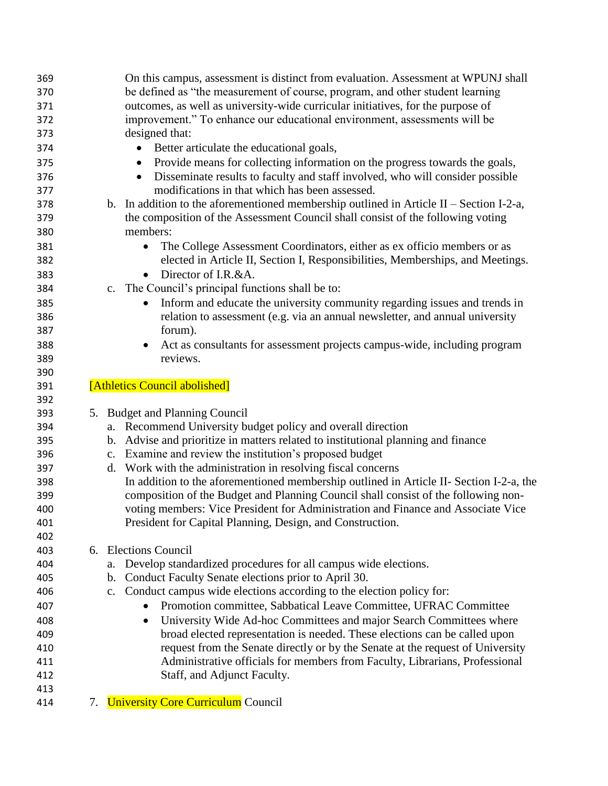| 369<br>370 | On this campus, assessment is distinct from evaluation. Assessment at WPUNJ shall<br>be defined as "the measurement of course, program, and other student learning |
|------------|--------------------------------------------------------------------------------------------------------------------------------------------------------------------|
| 371        | outcomes, as well as university-wide curricular initiatives, for the purpose of                                                                                    |
| 372        | improvement." To enhance our educational environment, assessments will be                                                                                          |
| 373        | designed that:                                                                                                                                                     |
| 374        | Better articulate the educational goals,<br>$\bullet$                                                                                                              |
| 375        | Provide means for collecting information on the progress towards the goals,<br>$\bullet$                                                                           |
| 376        | Disseminate results to faculty and staff involved, who will consider possible<br>$\bullet$                                                                         |
| 377        | modifications in that which has been assessed.                                                                                                                     |
| 378        | b. In addition to the aforementioned membership outlined in Article II – Section I-2-a,                                                                            |
| 379        | the composition of the Assessment Council shall consist of the following voting                                                                                    |
| 380        | members:                                                                                                                                                           |
| 381        | The College Assessment Coordinators, either as ex officio members or as<br>$\bullet$                                                                               |
| 382        | elected in Article II, Section I, Responsibilities, Memberships, and Meetings.                                                                                     |
| 383        | Director of I.R.&A.                                                                                                                                                |
| 384        | c. The Council's principal functions shall be to:                                                                                                                  |
| 385        | Inform and educate the university community regarding issues and trends in<br>$\bullet$                                                                            |
| 386        | relation to assessment (e.g. via an annual newsletter, and annual university                                                                                       |
| 387        | forum).                                                                                                                                                            |
| 388        | Act as consultants for assessment projects campus-wide, including program                                                                                          |
| 389        | reviews.                                                                                                                                                           |
| 390        |                                                                                                                                                                    |
| 391        | [Athletics Council abolished]                                                                                                                                      |
| 392        |                                                                                                                                                                    |
| 393        | 5. Budget and Planning Council                                                                                                                                     |
| 394        | a. Recommend University budget policy and overall direction                                                                                                        |
| 395        | b. Advise and prioritize in matters related to institutional planning and finance                                                                                  |
| 396        |                                                                                                                                                                    |
|            | c. Examine and review the institution's proposed budget                                                                                                            |
| 397        | Work with the administration in resolving fiscal concerns<br>d.                                                                                                    |
| 398        | In addition to the aforementioned membership outlined in Article II- Section I-2-a, the                                                                            |
| 399        | composition of the Budget and Planning Council shall consist of the following non-                                                                                 |
| 400        | voting members: Vice President for Administration and Finance and Associate Vice                                                                                   |
| 401        | President for Capital Planning, Design, and Construction.                                                                                                          |
| 402        |                                                                                                                                                                    |
| 403        | 6. Elections Council                                                                                                                                               |
| 404        | Develop standardized procedures for all campus wide elections.<br>a.                                                                                               |
| 405        | Conduct Faculty Senate elections prior to April 30.<br>b.                                                                                                          |
| 406        | c. Conduct campus wide elections according to the election policy for:                                                                                             |
| 407        | Promotion committee, Sabbatical Leave Committee, UFRAC Committee<br>$\bullet$                                                                                      |
| 408        | University Wide Ad-hoc Committees and major Search Committees where<br>$\bullet$                                                                                   |
| 409        | broad elected representation is needed. These elections can be called upon                                                                                         |
| 410        | request from the Senate directly or by the Senate at the request of University                                                                                     |
| 411        | Administrative officials for members from Faculty, Librarians, Professional                                                                                        |
| 412        | Staff, and Adjunct Faculty.                                                                                                                                        |
| 413<br>414 | 7. University Core Curriculum Council                                                                                                                              |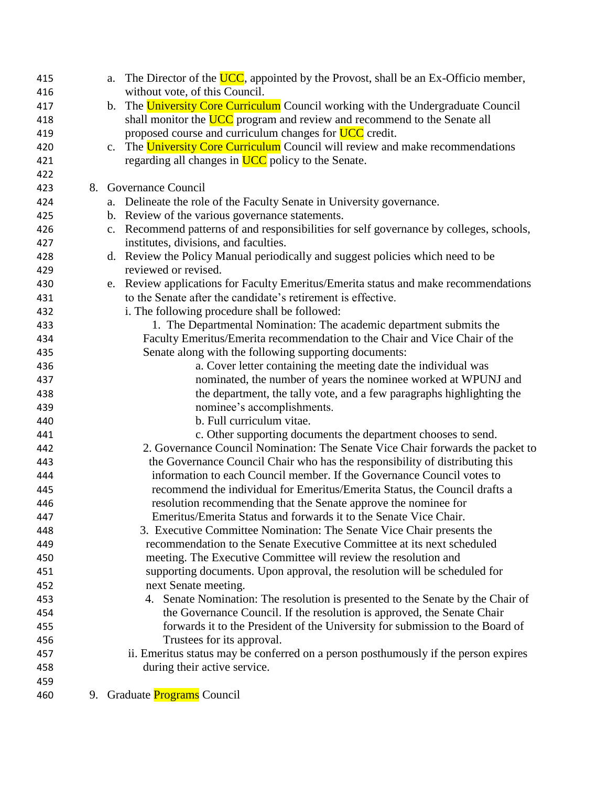| 415 | a.             | The Director of the UCC, appointed by the Provost, shall be an Ex-Officio member,       |
|-----|----------------|-----------------------------------------------------------------------------------------|
| 416 |                | without vote, of this Council.                                                          |
| 417 |                | b. The University Core Curriculum Council working with the Undergraduate Council        |
| 418 |                | shall monitor the UCC program and review and recommend to the Senate all                |
| 419 |                | proposed course and curriculum changes for <b>UCC</b> credit.                           |
| 420 | C <sub>1</sub> | The University Core Curriculum Council will review and make recommendations             |
| 421 |                | regarding all changes in UCC policy to the Senate.                                      |
| 422 |                |                                                                                         |
| 423 |                | 8. Governance Council                                                                   |
| 424 |                | a. Delineate the role of the Faculty Senate in University governance.                   |
| 425 |                | b. Review of the various governance statements.                                         |
| 426 |                | c. Recommend patterns of and responsibilities for self governance by colleges, schools, |
| 427 |                | institutes, divisions, and faculties.                                                   |
| 428 |                | d. Review the Policy Manual periodically and suggest policies which need to be          |
| 429 |                | reviewed or revised.                                                                    |
| 430 |                | e. Review applications for Faculty Emeritus/Emerita status and make recommendations     |
| 431 |                | to the Senate after the candidate's retirement is effective.                            |
| 432 |                | i. The following procedure shall be followed:                                           |
| 433 |                | 1. The Departmental Nomination: The academic department submits the                     |
| 434 |                | Faculty Emeritus/Emerita recommendation to the Chair and Vice Chair of the              |
| 435 |                | Senate along with the following supporting documents:                                   |
| 436 |                | a. Cover letter containing the meeting date the individual was                          |
| 437 |                | nominated, the number of years the nominee worked at WPUNJ and                          |
| 438 |                | the department, the tally vote, and a few paragraphs highlighting the                   |
| 439 |                | nominee's accomplishments.                                                              |
| 440 |                | b. Full curriculum vitae.                                                               |
| 441 |                | c. Other supporting documents the department chooses to send.                           |
| 442 |                | 2. Governance Council Nomination: The Senate Vice Chair forwards the packet to          |
| 443 |                | the Governance Council Chair who has the responsibility of distributing this            |
| 444 |                | information to each Council member. If the Governance Council votes to                  |
| 445 |                | recommend the individual for Emeritus/Emerita Status, the Council drafts a              |
| 446 |                | resolution recommending that the Senate approve the nominee for                         |
| 447 |                | Emeritus/Emerita Status and forwards it to the Senate Vice Chair.                       |
| 448 |                | 3. Executive Committee Nomination: The Senate Vice Chair presents the                   |
| 449 |                | recommendation to the Senate Executive Committee at its next scheduled                  |
| 450 |                | meeting. The Executive Committee will review the resolution and                         |
| 451 |                | supporting documents. Upon approval, the resolution will be scheduled for               |
| 452 |                | next Senate meeting.                                                                    |
| 453 |                | 4. Senate Nomination: The resolution is presented to the Senate by the Chair of         |
| 454 |                | the Governance Council. If the resolution is approved, the Senate Chair                 |
| 455 |                | forwards it to the President of the University for submission to the Board of           |
| 456 |                | Trustees for its approval.                                                              |
|     |                |                                                                                         |
| 457 |                | ii. Emeritus status may be conferred on a person posthumously if the person expires     |
| 458 |                | during their active service.                                                            |
| 459 |                |                                                                                         |
| 460 |                | 9. Graduate <b>Programs</b> Council                                                     |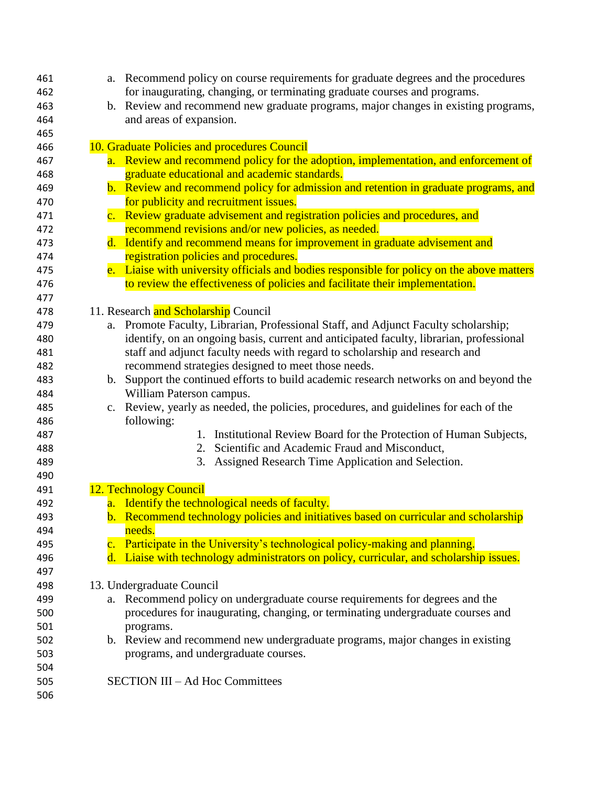| 461 | a. Recommend policy on course requirements for graduate degrees and the procedures         |
|-----|--------------------------------------------------------------------------------------------|
| 462 | for inaugurating, changing, or terminating graduate courses and programs.                  |
| 463 | b. Review and recommend new graduate programs, major changes in existing programs,         |
| 464 | and areas of expansion.                                                                    |
| 465 |                                                                                            |
| 466 | 10. Graduate Policies and procedures Council                                               |
| 467 | a. Review and recommend policy for the adoption, implementation, and enforcement of        |
| 468 | graduate educational and academic standards.                                               |
| 469 | b. Review and recommend policy for admission and retention in graduate programs, and       |
| 470 | for publicity and recruitment issues.                                                      |
| 471 | c. Review graduate advisement and registration policies and procedures, and                |
| 472 | recommend revisions and/or new policies, as needed.                                        |
| 473 | d. Identify and recommend means for improvement in graduate advisement and                 |
| 474 | registration policies and procedures.                                                      |
| 475 | e. Liaise with university officials and bodies responsible for policy on the above matters |
| 476 | to review the effectiveness of policies and facilitate their implementation.               |
| 477 |                                                                                            |
| 478 | 11. Research and Scholarship Council                                                       |
| 479 | a. Promote Faculty, Librarian, Professional Staff, and Adjunct Faculty scholarship;        |
| 480 | identify, on an ongoing basis, current and anticipated faculty, librarian, professional    |
| 481 | staff and adjunct faculty needs with regard to scholarship and research and                |
| 482 | recommend strategies designed to meet those needs.                                         |
| 483 | b. Support the continued efforts to build academic research networks on and beyond the     |
| 484 | William Paterson campus.                                                                   |
| 485 | c. Review, yearly as needed, the policies, procedures, and guidelines for each of the      |
| 486 | following:                                                                                 |
| 487 | Institutional Review Board for the Protection of Human Subjects,<br>1.                     |
| 488 | Scientific and Academic Fraud and Misconduct,<br>2.                                        |
| 489 | Assigned Research Time Application and Selection.<br>3.                                    |
| 490 |                                                                                            |
| 491 | 12. Technology Council                                                                     |
| 492 | a. Identify the technological needs of faculty.                                            |
| 493 | b. Recommend technology policies and initiatives based on curricular and scholarship       |
| 494 | needs.                                                                                     |
| 495 | c. Participate in the University's technological policy-making and planning.               |
| 496 | d. Liaise with technology administrators on policy, curricular, and scholarship issues.    |
| 497 |                                                                                            |
| 498 | 13. Undergraduate Council                                                                  |
| 499 | a. Recommend policy on undergraduate course requirements for degrees and the               |
| 500 | procedures for inaugurating, changing, or terminating undergraduate courses and            |
| 501 | programs.                                                                                  |
| 502 | b. Review and recommend new undergraduate programs, major changes in existing              |
| 503 | programs, and undergraduate courses.                                                       |
| 504 |                                                                                            |
| 505 | <b>SECTION III – Ad Hoc Committees</b>                                                     |
| 506 |                                                                                            |